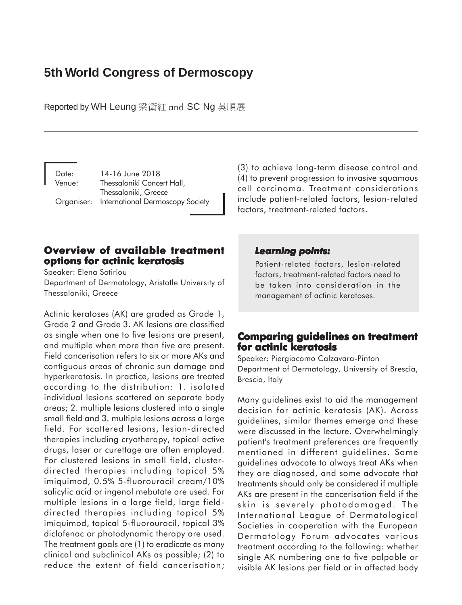# **5th World Congress of Dermoscopy**

Reported by WH Leung 梁衛紅 and SC Ng 吳順展

Date: 14-16 June 2018 Venue: Thessaloniki Concert Hall, Thessaloniki, Greece Organiser: International Dermoscopy Society (3) to achieve long-term disease control and (4) to prevent progression to invasive squamous cell carcinoma. Treatment considerations include patient-related factors, lesion-related factors, treatment-related factors.

# **Overview of available treatment of available options for actinic keratosis**

Speaker: Elena Sotiriou Department of Dermatology, Aristotle University of Thessaloniki, Greece

Actinic keratoses (AK) are graded as Grade 1, Grade 2 and Grade 3. AK lesions are classified as single when one to five lesions are present, and multiple when more than five are present. Field cancerisation refers to six or more AKs and contiguous areas of chronic sun damage and hyperkeratosis. In practice, lesions are treated according to the distribution: 1. isolated individual lesions scattered on separate body areas; 2. multiple lesions clustered into a single small field and 3. multiple lesions across a large field. For scattered lesions, lesion-directed therapies including cryotherapy, topical active drugs, laser or curettage are often employed. For clustered lesions in small field, clusterdirected therapies including topical 5% imiquimod, 0.5% 5-fluorouracil cream/10% salicylic acid or ingenol mebutate are used. For multiple lesions in a large field, large fielddirected therapies including topical 5% imiquimod, topical 5-fluorouracil, topical 3% diclofenac or photodynamic therapy are used. The treatment goals are (1) to eradicate as many clinical and subclinical AKs as possible; (2) to reduce the extent of field cancerisation;

## *Learning points: Learning points:*

Patient-related factors, lesion-related factors, treatment-related factors need to be taken into consideration in the management of actinic keratoses.

# **Comparing guidelines on treatment Comparing on treatment for actinic keratosis**

Speaker: Piergiacomo Calzavara-Pinton Department of Dermatology, University of Brescia, Brescia, Italy

Many guidelines exist to aid the management decision for actinic keratosis (AK). Across guidelines, similar themes emerge and these were discussed in the lecture. Overwhelmingly patient's treatment preferences are frequently mentioned in different guidelines. Some guidelines advocate to always treat AKs when they are diagnosed, and some advocate that treatments should only be considered if multiple AKs are present in the cancerisation field if the skin is severely photodamaged. The International League of Dermatological Societies in cooperation with the European Dermatology Forum advocates various treatment according to the following: whether single AK numbering one to five palpable or visible AK lesions per field or in affected body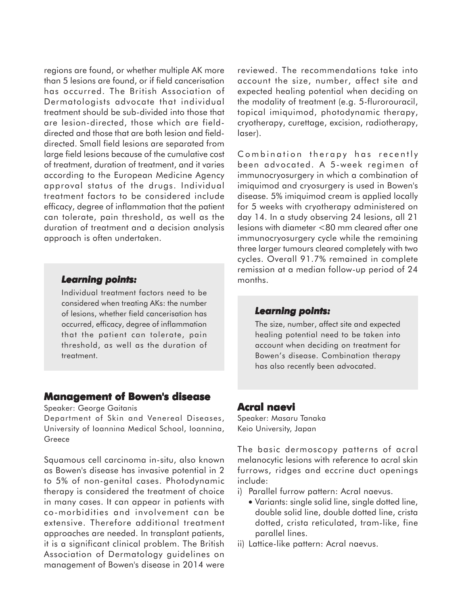regions are found, or whether multiple AK more than 5 lesions are found, or if field cancerisation has occurred. The British Association of Dermatologists advocate that individual treatment should be sub-divided into those that are lesion-directed, those which are fielddirected and those that are both lesion and fielddirected. Small field lesions are separated from large field lesions because of the cumulative cost of treatment, duration of treatment, and it varies according to the European Medicine Agency approval status of the drugs. Individual treatment factors to be considered include efficacy, degree of inflammation that the patient can tolerate, pain threshold, as well as the duration of treatment and a decision analysis approach is often undertaken.

## *Learning points: Learning*

Individual treatment factors need to be considered when treating AKs: the number of lesions, whether field cancerisation has occurred, efficacy, degree of inflammation that the patient can tolerate, pain threshold, as well as the duration of treatment.

## **Management of Bowen's disease**

Speaker: George Gaitanis

Department of Skin and Venereal Diseases, University of Ioannina Medical School, Ioannina, Greece

Squamous cell carcinoma in-situ, also known as Bowen's disease has invasive potential in 2 to 5% of non-genital cases. Photodynamic therapy is considered the treatment of choice in many cases. It can appear in patients with co-morbidities and involvement can be extensive. Therefore additional treatment approaches are needed. In transplant patients, it is a significant clinical problem. The British Association of Dermatology guidelines on management of Bowen's disease in 2014 were

reviewed. The recommendations take into account the size, number, affect site and expected healing potential when deciding on the modality of treatment (e.g. 5-flurorouracil, topical imiquimod, photodynamic therapy, cryotherapy, curettage, excision, radiotherapy, laser).

Combination therapy has recently been advocated. A 5-week regimen of immunocryosurgery in which a combination of imiquimod and cryosurgery is used in Bowen's disease. 5% imiquimod cream is applied locally for 5 weeks with cryotherapy administered on day 14. In a study observing 24 lesions, all 21 lesions with diameter <80 mm cleared after one immunocryosurgery cycle while the remaining three larger tumours cleared completely with two cycles. Overall 91.7% remained in complete remission at a median follow-up period of 24 months.

#### *Learning points: Learning points:*

The size, number, affect site and expected healing potential need to be taken into account when deciding on treatment for Bowen's disease. Combination therapy has also recently been advocated.

# **Acral naevi naevi**

Speaker: Masaru Tanaka Keio University, Japan

The basic dermoscopy patterns of acral melanocytic lesions with reference to acral skin furrows, ridges and eccrine duct openings include:

- i) Parallel furrow pattern: Acral naevus.
	- Variants: single solid line, single dotted line, double solid line, double dotted line, crista dotted, crista reticulated, tram-like, fine parallel lines.
- ii) Lattice-like pattern: Acral naevus.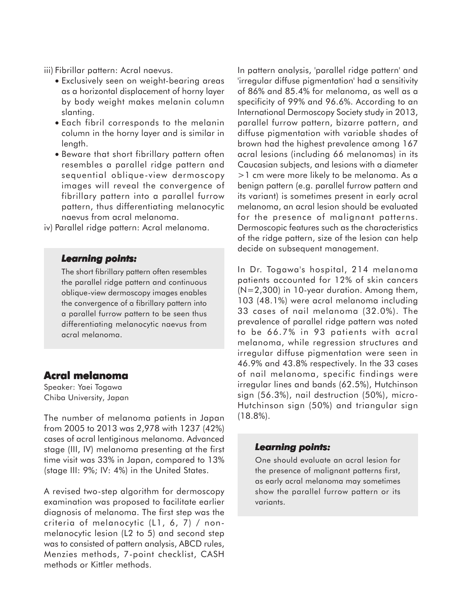- iii) Fibrillar pattern: Acral naevus.
	- Exclusively seen on weight-bearing areas as a horizontal displacement of horny layer by body weight makes melanin column slanting.
	- Each fibril corresponds to the melanin column in the horny layer and is similar in length.
	- Beware that short fibrillary pattern often resembles a parallel ridge pattern and sequential oblique-view dermoscopy images will reveal the convergence of fibrillary pattern into a parallel furrow pattern, thus differentiating melanocytic naevus from acral melanoma.
- iv) Parallel ridge pattern: Acral melanoma.

#### *Learning points: Learning*

The short fibrillary pattern often resembles the parallel ridge pattern and continuous oblique-view dermoscopy images enables the convergence of a fibrillary pattern into a parallel furrow pattern to be seen thus differentiating melanocytic naevus from acral melanoma.

## **Acral melanoma**

Speaker: Yaei Togawa Chiba University, Japan

The number of melanoma patients in Japan from 2005 to 2013 was 2,978 with 1237 (42%) cases of acral lentiginous melanoma. Advanced stage (III, IV) melanoma presenting at the first time visit was 33% in Japan, compared to 13% (stage III: 9%; IV: 4%) in the United States.

A revised two-step algorithm for dermoscopy examination was proposed to facilitate earlier diagnosis of melanoma. The first step was the criteria of melanocytic (L1, 6, 7) / nonmelanocytic lesion (L2 to 5) and second step was to consisted of pattern analysis, ABCD rules, Menzies methods, 7-point checklist, CASH methods or Kittler methods.

In pattern analysis, 'parallel ridge pattern' and 'irregular diffuse pigmentation' had a sensitivity of 86% and 85.4% for melanoma, as well as a specificity of 99% and 96.6%. According to an International Dermoscopy Society study in 2013, parallel furrow pattern, bizarre pattern, and diffuse pigmentation with variable shades of brown had the highest prevalence among 167 acral lesions (including 66 melanomas) in its Caucasian subjects, and lesions with a diameter >1 cm were more likely to be melanoma. As a benign pattern (e.g. parallel furrow pattern and its variant) is sometimes present in early acral melanoma, an acral lesion should be evaluated for the presence of malignant patterns. Dermoscopic features such as the characteristics of the ridge pattern, size of the lesion can help decide on subsequent management.

In Dr. Togawa's hospital, 214 melanoma patients accounted for 12% of skin cancers (N=2,300) in 10-year duration. Among them, 103 (48.1%) were acral melanoma including 33 cases of nail melanoma (32.0%). The prevalence of parallel ridge pattern was noted to be 66.7% in 93 patients with acral melanoma, while regression structures and irregular diffuse pigmentation were seen in 46.9% and 43.8% respectively. In the 33 cases of nail melanoma, specific findings were irregular lines and bands (62.5%), Hutchinson sign (56.3%), nail destruction (50%), micro-Hutchinson sign (50%) and triangular sign (18.8%).

#### *Learning points: Learning points:*

One should evaluate an acral lesion for the presence of malignant patterns first, as early acral melanoma may sometimes show the parallel furrow pattern or its variants.